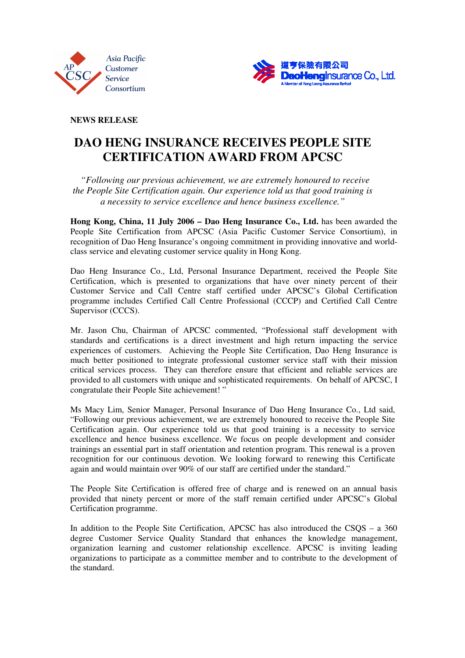



**NEWS RELEASE** 

## **DAO HENG INSURANCE RECEIVES PEOPLE SITE CERTIFICATION AWARD FROM APCSC**

 *"Following our previous achievement, we are extremely honoured to receive the People Site Certification again. Our experience told us that good training is a necessity to service excellence and hence business excellence."* 

**Hong Kong, China, 11 July 2006 – Dao Heng Insurance Co., Ltd.** has been awarded the People Site Certification from APCSC (Asia Pacific Customer Service Consortium), in recognition of Dao Heng Insurance's ongoing commitment in providing innovative and worldclass service and elevating customer service quality in Hong Kong.

Dao Heng Insurance Co., Ltd, Personal Insurance Department, received the People Site Certification, which is presented to organizations that have over ninety percent of their Customer Service and Call Centre staff certified under APCSC's Global Certification programme includes Certified Call Centre Professional (CCCP) and Certified Call Centre Supervisor (CCCS).

Mr. Jason Chu, Chairman of APCSC commented, "Professional staff development with standards and certifications is a direct investment and high return impacting the service experiences of customers. Achieving the People Site Certification, Dao Heng Insurance is much better positioned to integrate professional customer service staff with their mission critical services process. They can therefore ensure that efficient and reliable services are provided to all customers with unique and sophisticated requirements. On behalf of APCSC, I congratulate their People Site achievement! "

Ms Macy Lim, Senior Manager, Personal Insurance of Dao Heng Insurance Co., Ltd said, "Following our previous achievement, we are extremely honoured to receive the People Site Certification again. Our experience told us that good training is a necessity to service excellence and hence business excellence. We focus on people development and consider trainings an essential part in staff orientation and retention program. This renewal is a proven recognition for our continuous devotion. We looking forward to renewing this Certificate again and would maintain over 90% of our staff are certified under the standard."

The People Site Certification is offered free of charge and is renewed on an annual basis provided that ninety percent or more of the staff remain certified under APCSC's Global Certification programme.

In addition to the People Site Certification, APCSC has also introduced the CSQS – a 360 degree Customer Service Quality Standard that enhances the knowledge management, organization learning and customer relationship excellence. APCSC is inviting leading organizations to participate as a committee member and to contribute to the development of the standard.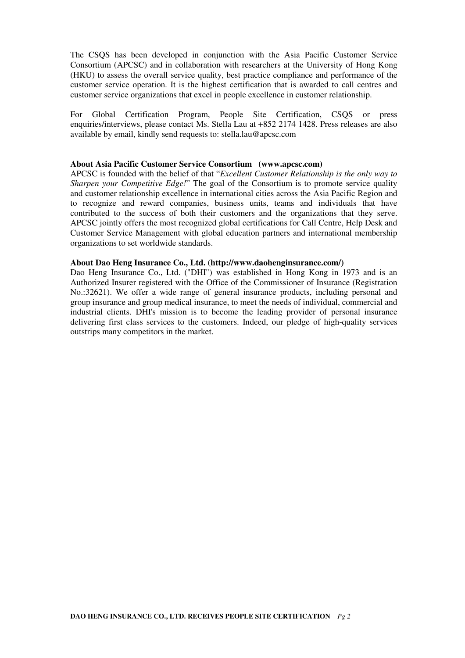The CSQS has been developed in conjunction with the Asia Pacific Customer Service Consortium (APCSC) and in collaboration with researchers at the University of Hong Kong (HKU) to assess the overall service quality, best practice compliance and performance of the customer service operation. It is the highest certification that is awarded to call centres and customer service organizations that excel in people excellence in customer relationship.

For Global Certification Program, People Site Certification, CSQS or press enquiries/interviews, please contact Ms. Stella Lau at +852 2174 1428. Press releases are also available by email, kindly send requests to: stella.lau@apcsc.com

## **About Asia Pacific Customer Service Consortium (www.apcsc.com)**

APCSC is founded with the belief of that "*Excellent Customer Relationship is the only way to Sharpen your Competitive Edge!*" The goal of the Consortium is to promote service quality and customer relationship excellence in international cities across the Asia Pacific Region and to recognize and reward companies, business units, teams and individuals that have contributed to the success of both their customers and the organizations that they serve. APCSC jointly offers the most recognized global certifications for Call Centre, Help Desk and Customer Service Management with global education partners and international membership organizations to set worldwide standards.

#### **About Dao Heng Insurance Co., Ltd. (http://www.daohenginsurance.com/)**

Dao Heng Insurance Co., Ltd. ("DHI") was established in Hong Kong in 1973 and is an Authorized Insurer registered with the Office of the Commissioner of Insurance (Registration No.:32621). We offer a wide range of general insurance products, including personal and group insurance and group medical insurance, to meet the needs of individual, commercial and industrial clients. DHI's mission is to become the leading provider of personal insurance delivering first class services to the customers. Indeed, our pledge of high-quality services outstrips many competitors in the market.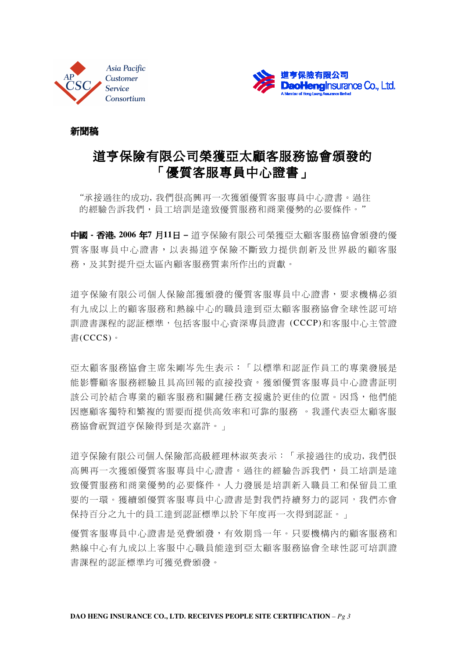



## 新聞稿

# 道亨保險有限公司榮獲亞太顧客服務協會頒發的 「優質客服專員中心證書」

 *"*承接過往的成功, 我們很高興再一次獲頒優質客服專員中心證書。過往 的經驗告訴我們,員工培訓是達致優質服務和商業優勢的必要條件。*"* 

中國 **-** 香港**, 2006** 年**7** 月**11**日 **–** 道亨保險有限公司榮獲亞太顧客服務協會頒發的優 質客服專員中心證書,以表揚道亨保險不斷致力提供創新及世界級的顧客服 務,及其對提升亞太區內顧客服務質素所作出的貢獻。

道亨保險有限公司個人保險部獲頒發的優質客服專員中心證書,要求機構必須 有九成以上的顧客服務和熱線中心的職員達到亞太顧客服務協會全球性認可培 訓證書課程的認証標準,包括客服中心資深專員證書 (CCCP)和客服中心主管證 書(CCCS)。

亞太顧客服務協會主席朱剛岑先生表示:「以標準和認証作員工的專業發展是 能影響顧客服務經驗且具高回報的直接投資。獲頒優質客服專員中心證書証明 該公司於結合專業的顧客服務和關鍵任務支援處於更佳的位置。因為,他們能 因應顧客獨特和繁複的需要而提供高效率和可靠的服務 。我謹代表亞太顧客服 務協會祝賀道亨保險得到是次嘉許。」

道亨保險有限公司個人保險部高級經理林淑英表示:「承接過往的成功, 我們很 高興再一次獲頒優質客服專員中心證書。過往的經驗告訴我們,員工培訓是達 致優質服務和商業優勢的必要條件。人力發展是培訓新入職員工和保留員工重 要的一環。獲續頒優質客服專員中心證書是對我們持續努力的認同,我們亦會 保持百分之九十的員工達到認証標準以於下年度再一次得到認証。」

優質客服專員中心證書是免費頒發,有效期為一年。只要機構內的顧客服務和 熱線中心有九成以上客服中心職員能達到亞太顧客服務協會全球性認可培訓證 書課程的認証標準均可獲免費頒發。